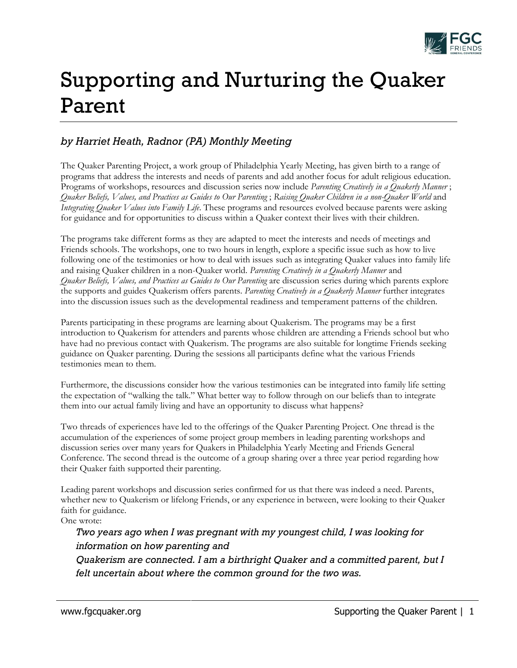

## Supporting and Nurturing the Quaker Parent

## *by Harriet Heath, Radnor (PA) Monthly Meeting*

The Quaker Parenting Project, a work group of Philadelphia Yearly Meeting, has given birth to a range of programs that address the interests and needs of parents and add another focus for adult religious education. Programs of workshops, resources and discussion series now include *Parenting Creatively in a Quakerly Manner* ; *Quaker Beliefs, Values, and Practices as Guides to Our Parenting* ; *Raising Quaker Children in a non-Quaker World* and *Integrating Quaker Values into Family Life*. These programs and resources evolved because parents were asking for guidance and for opportunities to discuss within a Quaker context their lives with their children.

The programs take different forms as they are adapted to meet the interests and needs of meetings and Friends schools. The workshops, one to two hours in length, explore a specific issue such as how to live following one of the testimonies or how to deal with issues such as integrating Quaker values into family life and raising Quaker children in a non-Quaker world. *Parenting Creatively in a Quakerly Manner* and *Quaker Beliefs, Values, and Practices as Guides to Our Parenting* are discussion series during which parents explore the supports and guides Quakerism offers parents. *Parenting Creatively in a Quakerly Manner* further integrates into the discussion issues such as the developmental readiness and temperament patterns of the children.

Parents participating in these programs are learning about Quakerism. The programs may be a first introduction to Quakerism for attenders and parents whose children are attending a Friends school but who have had no previous contact with Quakerism. The programs are also suitable for longtime Friends seeking guidance on Quaker parenting. During the sessions all participants define what the various Friends testimonies mean to them.

Furthermore, the discussions consider how the various testimonies can be integrated into family life setting the expectation of "walking the talk." What better way to follow through on our beliefs than to integrate them into our actual family living and have an opportunity to discuss what happens?

Two threads of experiences have led to the offerings of the Quaker Parenting Project. One thread is the accumulation of the experiences of some project group members in leading parenting workshops and discussion series over many years for Quakers in Philadelphia Yearly Meeting and Friends General Conference. The second thread is the outcome of a group sharing over a three year period regarding how their Quaker faith supported their parenting.

Leading parent workshops and discussion series confirmed for us that there was indeed a need. Parents, whether new to Quakerism or lifelong Friends, or any experience in between, were looking to their Quaker faith for guidance.

One wrote:

## *Two years ago when I was pregnant with my youngest child, I was looking for information on how parenting and*

*Quakerism are connected. I am a birthright Quaker and a committed parent, but I felt uncertain about where the common ground for the two was.*